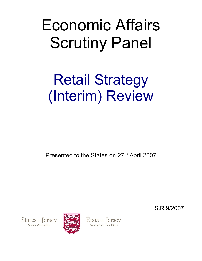# Economic Affairs Scrutiny Panel

# Retail Strategy (Interim) Review

Presented to the States on 27<sup>th</sup> April 2007

S.R.9/2007

States of Jersey **States Assembly** 



États de Jersey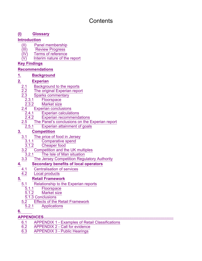# **Contents**

# **(I) Glossary**

## **Introduction**

- (II) Panel membership<br>(III) Review Progress
- **Review Progress**
- $(IV)$  Terms of reference
- $\overline{(V)}$  Interim nature of the report

# **Key Findings**

# **Recommendations**

# **1. Background**

# **2. Experian**

- 
- 2.1 **Background to the reports**<br>2.2 The original Experian repo The original Experian report
- 2.3 Sparks commentary
	- 2.3.1 Floorspace<br>2.3.2 Market size
	- **Market size**
- 
- 2.4 Experian conclusions 2.4.1 Experian calculations<br>2.4.2 Experian recommend
	- **Experian recommendations**
- $\frac{2.5}{2.5.1}$  The Panel's conclusions on the Experian report 2.5.1
	- Experian attainment of goals

# **3. Competition**

- $\frac{3.1}{3.1.1}$  The price of food in Jersey<br>3.1.1 Comparative spend
	- $\frac{3.1.1}{3.1.2}$  Comparative spend
	- Cheaper food
- 3.2 Competition and the UK multiples
	- 3.2.1 The Isle of Man situation
- 3.3 The Jersey Competition Regulatory Authority

# **4. Secondary benefits of local operators**

- 4.1 Centralisation of services
- 4.2 Local products

# **5. Retail Framework**

- 5.1 Relationship to the Experian reports
	- 5.1.1 Floorspace<br>5.1.2 Market size
	- Market size
	- 5.1.3 Conclusions
- 5.2 Effects of the Retail Framework
	- 5.2.1 Applications

# **6.**

**APPENDICES......................................................................................................................**

- 6.1 APPENDIX 1 Examples of Retail Classifications
- 6.2 APPENDIX 2 Call for evidence
- 6.3 APPENDIX 3 Public Hearings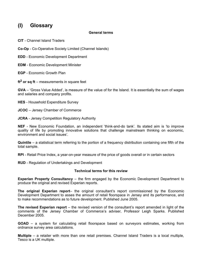# **(I) Glossary**

#### **General terms**

**CIT** - Channel Island Traders

**Co-Op** - Co-Operative Society Limited (Channel Islands)

**EDD** - Economic Development Department

**EDM** - Economic Development Minister

**EGP** - Economic Growth Plan

**ft2 or sq ft** – measurements in square feet

**GVA** – 'Gross Value Added', is measure of the value of for the Island. It is essentially the sum of wages and salaries and company profits.

**HES** - Household Expenditure Survey

**JCOC** – Jersey Chamber of Commerce

**JCRA** - Jersey Competition Regulatory Authority

**NEF** - New Economic Foundation, an independent 'think-and-do tank'. Its stated aim is 'to improve quality of life by promoting innovative solutions that challenge mainstream thinking on economic, environment and social issues'.

**Quintile** – a statistical term referring to the portion of a frequency distribution containing one fifth of the total sample.

**RPI** - Retail Price Index, a year-on-year measure of the price of goods overall or in certain sectors

**RUD** - Regulation of Undertakings and Development

#### **Technical terms for this review**

**Experian Property Consultancy** – the firm engaged by the Economic Development Department to produce the original and revised Experian reports.

**The original Experian report**– the original consultant's report commissioned by the Economic Development Department to asses the amount of retail floorspace in Jersey and its performance, and to make recommendations as to future development. Published June 2005.

**The revised Experian report** – the revised version of the consultant's report amended in light of the comments of the Jersey Chamber of Commerce's adviser, Professor Leigh Sparks. Published December 2005.

**GOAD** – a system for calculating retail floorspace based on surveyors estimates, working from ordnance survey area calculations.

**Multiple** – a retailer with more than one retail premises. Channel Island Traders is a local multiple, Tesco is a UK multiple.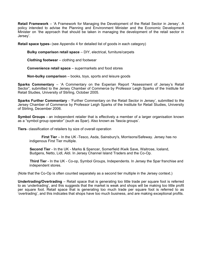**Retail Framework** – 'A Framework for Managing the Development of the Retail Sector in Jersey'. A policy intended to advise the Planning and Environment Minister and the Economic Development Minister on 'the approach that should be taken in managing the development of the retail sector in Jersey'.

**Retail space types-** (see Appendix 4 for detailed list of goods in each category)

**Bulky comparison retail space** – DIY, electrical, furniture/carpets

**Clothing footwear** – clothing and footwear

**Convenience retail space** – supermarkets and food stores

**Non-bulky comparison** – books, toys, sports and leisure goods

**Sparks Commentary** – 'A Commentary on the Experian Report "Assessment of Jersey's Retail Sector", submitted to the Jersey Chamber of Commerce by Professor Leigh Sparks of the Institute for Retail Studies, University of Stirling, October 2005.

**Sparks Further Commentary** - 'Further Commentary on the Retail Sector in Jersey', submitted to the Jersey Chamber of Commerce by Professor Leigh Sparks of the Institute for Retail Studies, University of Stirling, December 2006.

**Symbol Groups** - an independent retailer that is effectively a member of a larger organisation known as a "symbol group operator" (such as Spar). Also known as 'fascia groups'.

**Tiers**- classification of retailers by size of overall operation

 **First Tier** – In the UK -Tesco, Asda, Sainsbury's, Morrisons/Safeway. Jersey has no indigenous First Tier multiple.

**Second Tier** - In the UK - Marks & Spencer, Somerfield /Kwik Save, Waitrose, Iceland, Budgens, Netto, Lidl, Aldi. In Jersey Channel Island Traders and the Co-Op.

 **Third Tier** - In the UK - Co-op, Symbol Groups, Independents. In Jersey the Spar franchise and independent stores.

(Note that the Co-Op is often counted separately as a second tier multiple in the Jersey context.)

**Undertrading/Overtrading** – Retail space that is generating too little trade per square foot is referred to as 'undertrading', and this suggests that the market is weak and shops will be making too little profit per square foot. Retail space that is generating too much trade per square foot is referred to as 'overtrading', and this indicates that shops have too much business, and are making exceptional profits.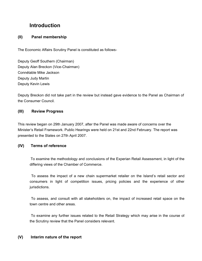# **Introduction**

## **(II) Panel membership**

The Economic Affairs Scrutiny Panel is constituted as follows-

Deputy Geoff Southern (Chairman) Deputy Alan Breckon (Vice-Chairman) Connétable Mike Jackson Deputy Judy Martin Deputy Kevin Lewis

Deputy Breckon did not take part in the review but instead gave evidence to the Panel as Chairman of the Consumer Council.

## **(III) Review Progress**

This review began on 29th January 2007, after the Panel was made aware of concerns over the Minister's Retail Framework. Public Hearings were held on 21st and 22nd February. The report was presented to the States on 27th April 2007.

#### **(IV) Terms of reference**

 To examine the methodology and conclusions of the Experian Retail Assessment, in light of the differing views of the Chamber of Commerce.

 To assess the impact of a new chain supermarket retailer on the Island's retail sector and consumers in light of competition issues, pricing policies and the experience of other jurisdictions.

 To assess, and consult with all stakeholders on, the impact of increased retail space on the town centre and other areas.

 To examine any further issues related to the Retail Strategy which may arise in the course of the Scrutiny review that the Panel considers relevant.

#### **(V) Interim nature of the report**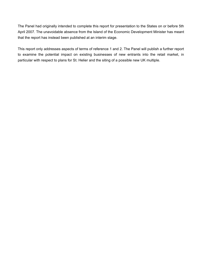The Panel had originally intended to complete this report for presentation to the States on or before 5th April 2007. The unavoidable absence from the Island of the Economic Development Minister has meant that the report has instead been published at an interim stage.

This report only addresses aspects of terms of reference 1 and 2. The Panel will publish a further report to examine the potential impact on existing businesses of new entrants into the retail market, in particular with respect to plans for St. Helier and the siting of a possible new UK multiple.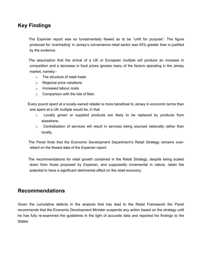# **Key Findings**

 The Experian report was so fundamentally flawed as to be "unfit for purpose". The figure produced for 'overtrading' in Jersey's convenience retail sector was 45% greater than is justified by the evidence.

 The assumption that the arrival of a UK or European multiple will produce an increase in competition and a decrease in food prices ignores many of the factors operating in the Jersey market, namely:-

- $\circ$  The structure of retail trade
- $\circ$  Regional price variations
- o Increased labour costs
- $\circ$  Comparison with the Isle of Man

 Every pound spent at a locally-owned retailer is more beneficial to Jersey in economic terms than one spent at a UK multiple would be, in that

- $\circ$  Locally grown or supplied products are likely to be replaced by products from elsewhere.
- $\circ$  Centralisation of services will result in services being sourced nationally rather than locally.

 The Panel finds that the Economic Development Department's Retail Strategy remains overreliant on the flawed data of the Experian report.

 The recommendations for retail growth contained in the Retail Strategy, despite being scaled down from those proposed by Experian, and supposedly incremental in nature, retain the potential to have a significant detrimental effect on the retail economy.

# **Recommendations**

Given the cumulative defects in the analysis that has lead to the Retail Framework the Panel recommends that the Economic Development Minister suspends any action based on the strategy until he has fully re-examined the guidelines in the light of accurate data and reported his findings to the **States**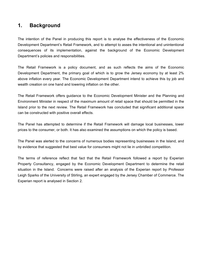# **1. Background**

The intention of the Panel in producing this report is to analyse the effectiveness of the Economic Development Department's Retail Framework, and to attempt to asses the intentional and unintentional consequences of its implementation, against the background of the Economic Development Department's policies and responsibilities.

The Retail Framework is a policy document, and as such reflects the aims of the Economic Development Department, the primary goal of which is to grow the Jersey economy by at least 2% above inflation every year. The Economic Development Department intend to achieve this by job and wealth creation on one hand and lowering inflation on the other.

The Retail Framework offers guidance to the Economic Development Minister and the Planning and Environment Minister in respect of the maximum amount of retail space that should be permitted in the Island prior to the next review. The Retail Framework has concluded that significant additional space can be constructed with positive overall effects.

The Panel has attempted to determine if the Retail Framework will damage local businesses, lower prices to the consumer, or both. It has also examined the assumptions on which the policy is based.

The Panel was alerted to the concerns of numerous bodies representing businesses in the Island, and by evidence that suggested that best value for consumers might not lie in unbridled competition.

The terms of reference reflect that fact that the Retail Framework followed a report by Experian Property Consultancy, engaged by the Economic Development Department to determine the retail situation in the Island. Concerns were raised after an analysis of the Experian report by Professor Leigh Sparks of the University of Stirling, an expert engaged by the Jersey Chamber of Commerce. The Experian report is analysed in Section 2.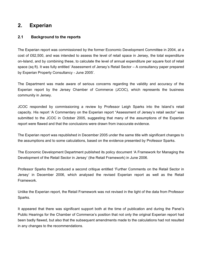# **2. Experian**

#### **2.1 Background to the reports**

The Experian report was commissioned by the former Economic Development Committee in 2004, at a cost of £62,500, and was intended to assess the level of retail space in Jersey, the total expenditure on-Island, and by combining these, to calculate the level of annual expenditure per square foot of retail space (sq ft). It was fully entitled 'Assessment of Jersey's Retail Sector – A consultancy paper prepared by Experian Property Consultancy - June 2005'.

The Department was made aware of serious concerns regarding the validity and accuracy of the Experian report by the Jersey Chamber of Commerce (JCOC), which represents the business community in Jersey.

JCOC responded by commissioning a review by Professor Leigh Sparks into the Island's retail capacity. His report 'A Commentary on the Experian report "Assessment of Jersey's retail sector" was submitted to the JCOC in October 2005, suggesting that many of the assumptions of the Experian report were flawed and that the conclusions were drawn from inaccurate evidence.

The Experian report was republished in December 2005 under the same title with significant changes to the assumptions and to some calculations, based on the evidence presented by Professor Sparks.

The Economic Development Department published its policy document 'A Framework for Managing the Development of the Retail Sector in Jersey' (the Retail Framework) in June 2006.

Professor Sparks then produced a second critique entitled 'Further Comments on the Retail Sector in Jersey' in December 2006, which analysed the revised Experian report as well as the Retail Framework.

Unlike the Experian report, the Retail Framework was not revised in the light of the data from Professor Sparks.

It appeared that there was significant support both at the time of publication and during the Panel's Public Hearings for the Chamber of Commerce's position that not only the original Experian report had been badly flawed, but also that the subsequent amendments made to the calculations had not resulted in any changes to the recommendations.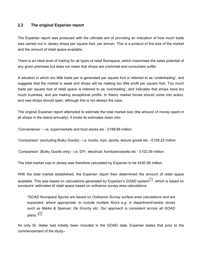#### **2.2 The original Experian report**

The Experian report was produced with the ultimate aim of providing an indication of how much trade was carried out in Jersey shops per square foot, per annum. This is a product of the size of the market and the amount of retail space available.

There is an ideal level of trading for all types of retail floorspace, which maximises the sales potential of any given premises but does not mean that shops are crammed and consumers suffer.

A situation in which too little trade per is generated per square foot is referred to as 'undertrading', and suggests that the market is weak and shops will be making too little profit per square foot. Too much trade per square foot of retail space is referred to as 'overtrading', and indicates that shops have too much business, and are making exceptional profits. In theory market forces should come into action, and new shops should open, although this is not always the case.

The original Experian report attempted to estimate the total market size (the amount of money spent in all shops in the island annually). It broke its estimates down into-

'Convenience' – i.e. supermarkets and food stores etc - £199.68 million

'Comparison' (excluding Bulky Goods) - i.e. books, toys, sports, leisure goods etc - £129.22 million

'Comparison' (Bulky Goods only) - i.e. DIY, electrical, furniture/carpets etc - £102.09 million

The total market size in Jersey was therefore calculated by Experian to be £430.99 million.

With the total market established, the Experian report then determined the amount of retail space available. This was based on calculations generated by Experian's GOAD system<sup>[1]</sup>, which is based on surveyors' estimates of retail space based on ordnance survey area calculations.

*"GOAD floorspace figures are based on Ordnance Survey surface area calculations and are expanded, where appropriate, to include multiple floors e.g. in department/variety stores such as Marks & Spencer, De Gruchy etc. Our approach is consistent across all GOAD plans." [2]*

As only St. Helier had initially been included in the GOAD data, Experian states that prior to the commencement of the study–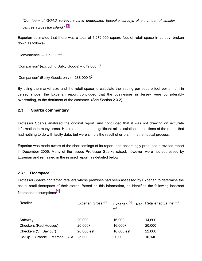*"Our team of GOAD surveyors have undertaken bespoke surveys of a number of smaller centres across the Island."* [3]

Experian estimated that there was a total of 1,272,000 square feet of retail space in Jersey, broken down as follows-

'Convenience'  $-305,000$  ft<sup>2</sup>

'Comparison' (excluding Bulky Goods) – 679,000 ft $^2$ 

'Comparison' (Bulky Goods only) – 288,000 ft<sup>2</sup>

By using the market size and the retail space to calculate the trading per square foot per annum in Jersey shops, the Experian report concluded that the businesses in Jersey were considerably overtrading, to the detriment of the customer. (See Section 2.3.2).

#### **2.3 Sparks commentary**

Professor Sparks analysed the original report, and concluded that it was not drawing on accurate information in many areas. He also noted some significant miscalculations in sections of the report that had nothing to do with faulty data, but were simply the result of errors in mathematical process.

Experian was made aware of the shortcomings of its report, and accordingly produced a revised report in December 2005. Many of the issues Professor Sparks raised, however, were not addressed by Experian and remained in the revised report, as detailed below.

#### **2.3.1 Floorspace**

Professor Sparks contacted retailers whose premises had been assessed by Experian to determine the actual retail floorspace of their stores. Based on this information, he identified the following incorrect floorspace assumptions<sup>[4]</sup>-

| Retailer                     |        | Experian Gross ft <sup>2</sup> | Experian <sup>[5]</sup><br>ft <sup>2</sup> | Net Retailer actual net $ft^2$ |            |        |
|------------------------------|--------|--------------------------------|--------------------------------------------|--------------------------------|------------|--------|
| Safeway                      |        |                                |                                            | 20,000                         | 16,000     | 14,600 |
| <b>Checkers (Red Houses)</b> |        |                                |                                            | $20,000+$                      | $16,000+$  | 20,000 |
| Checkers (St. Saviour)       |        |                                |                                            | 20,000 est                     | 16,000 est | 22,000 |
| $Co-Op$                      | Grande | Marché                         | (St.                                       | 25,000                         | 20,000     | 16,140 |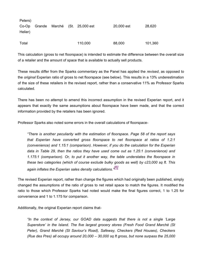| Peters) |  |                                     |            |         |
|---------|--|-------------------------------------|------------|---------|
|         |  | Co-Op Grande Marché (St. 25,000 est | 20,000 est | 28,620  |
| Helier) |  |                                     |            |         |
| Total   |  | 110,000                             | 88,000     | 101,360 |

This calculation (gross to net floorspace) is intended to estimate the difference between the overall size of a retailer and the amount of space that is available to actually sell products.

These results differ from the Sparks commentary as the Panel has applied the *revised*, as opposed to the *original* Experian ratio of gross to net floorspace (see below). This results in a 13% underestimation of the size of these retailers in the revised report, rather than a conservative 11% as Professor Sparks calculated.

There has been no attempt to amend this incorrect assumption in the revised Experian report, and it appears that exactly the same assumptions about floorspace have been made, and that the correct information provided by the retailers has been ignored.

Professor Sparks also noted some errors in the overall calculations of floorspace-

*"There is another peculiarity with the estimation of floorspace. Page 58 of the report says that Experian have converted gross floorspace to net floorspace at ratios of 1.2:1 (convenience) and 1.15:1 (comparison). However, if you do the calculation for the Experian data in Table 29, then the ratios they have used come out as 1.25:1 (convenience) and 1.175:1 (comparison). Or, to put it another way, the table understates the floorspace in these two categories (which of course exclude bulky goods as well) by c23,000 sq ft. This again inflates the Experian sales density calculations." [6]*

The revised Experian report, rather than change the figures which had originally been published, simply changed the assumptions of the ratio of gross to net retail space to match the figures. It modified the ratio to those which Professor Sparks had noted would make the final figures correct, 1 to 1.25 for convenience and 1 to 1.175 for comparison.

Additionally, the original Experian report claims that-

*"In the context of Jersey, our GOAD data suggests that there is not a single 'Large Superstore' in the Island. The five largest grocery stores (Fresh Food Grand Marché (St Peter), Grand Marché (St Saviour's Road), Safeway, Checkers (Red Houses), Checkers (Rue des Pres) all occupy around 20,000 – 30,000 sq ft gross, but none surpass the 25,000*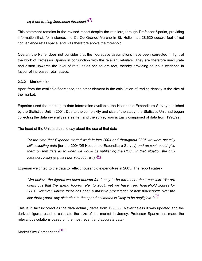# *sq ft net trading floorspace threshold." [7]*

This statement remains in the revised report despite the retailers, through Professor Sparks, providing information that, for instance, the Co-Op Grande Marché in St. Helier has 28,620 square feet of net convenience retail space, and was therefore above the threshold.

Overall, the Panel does not consider that the floorspace assumptions have been corrected in light of the work of Professor Sparks in conjunction with the relevant retailers. They are therefore inaccurate and distort upwards the level of retail sales per square foot, thereby providing spurious evidence in favour of increased retail space.

#### **2.3.2 Market size**

Apart from the available floorspace, the other element in the calculation of trading density is the size of the market.

Experian used the most up-to-date information available, the Household Expenditure Survey published by the Statistics Unit in 2001. Due to the complexity and size of the study, the Statistics Unit had begun collecting the data several years earlier, and the survey was actually comprised of data from 1998/99.

The head of the Unit had this to say about the use of that data-

*"At the time that Experian started work in late 2004 and throughout 2005 we were actually still collecting data* [for the 2004/05 Household Expenditure Survey] *and as such could give them on firm date as to when we would be publishing the HES . In that situation the only data they could use was the 1998/99 HES." [8]*

Experian weighted to the data to reflect household expenditure in 2005. The report states-

*"We believe the figures we have derived for Jersey to be the most robust possible. We are conscious that the spend figures refer to 2004, yet we have used household figures for 2001. However, unless there has been a massive proliferation of new households over the last three years, any distortion to the spend estimates is likely to be negligible." [9]*

This is in fact incorrect as the data actually dates from 1998/99. Nevertheless it was updated and the derived figures used to calculate the size of the market in Jersey. Professor Sparks has made the relevant calculations based on the most recent and accurate data-

Market Size Comparisons<sup>[10]</sup>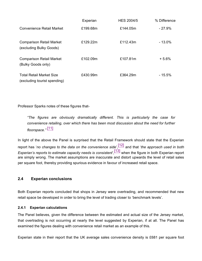|                                                                 | Experian | <b>HES 2004/5</b> | % Difference |
|-----------------------------------------------------------------|----------|-------------------|--------------|
| Convenience Retail Market                                       | £199.68m | £144.05m          | $-27.9\%$    |
| <b>Comparison Retail Market</b><br>(excluding Bulky Goods)      | £129.22m | £112.43m          | $-13.0\%$    |
| <b>Comparison Retail Market</b><br>(Bulky Goods only)           | £102.09m | £107.81m          | $+5.6%$      |
| <b>Total Retail Market Size</b><br>(excluding tourist spending) | £430.99m | £364.29m          | $-15.5\%$    |

Professor Sparks notes of these figures that-

*"The figures are obviously dramatically different. This is particularly the case for convenience retailing, over which there has been most discussion about the need for further floorspace."* [11]

In light of the above the Panel is surprised that the Retail Framework should state that the Experian report has '*no changes to the data on the convenience side*', [12] and that '*the approach used in both Experian's reports to estimate capacity needs is consistent*', [13] when the figure in both Experian report are simply wrong. The market assumptions are inaccurate and distort upwards the level of retail sales per square foot, thereby providing spurious evidence in favour of increased retail space.

#### **2.4 Experian conclusions**

Both Experian reports concluded that shops in Jersey were overtrading, and recommended that new retail space be developed in order to bring the level of trading closer to 'benchmark levels'.

#### **2.4.1 Experian calculations**

The Panel believes, given the difference between the estimated and actual size of the Jersey market, that overtrading is not occurring at nearly the level suggested by Experian, if at all. The Panel has examined the figures dealing with convenience retail market as an example of this.

Experian state in their report that the UK average sales convenience density is £681 per square foot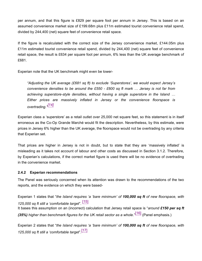per annum, and that this figure is £829 per square foot per annum in Jersey. This is based on an assumed convenience market size of £199.68m plus £11m estimated tourist convenience retail spend, divided by 244,400 (net) square feet of convenience retail space.

If the figure is recalculated with the correct size of the Jersey convenience market, £144.05m plus £11m estimated tourist convenience retail spend, divided by 244,400 (net) square feet of convenience retail space, the result is £634 per square foot per annum, 6% less than the UK average benchmark of £681.

Experian note that the UK benchmark might even be lower-

*"Adjusting the UK average (£681 sq ft) to exclude 'Superstores', we would expect Jersey's convenience densities to be around the £550 - £600 sq ft mark … Jersey is not far from achieving superstore-style densities, without having a single superstore in the Island … Either prices are massively inflated in Jersey or the convenience floorspace is overtrading." [14]*

Experian class a 'superstore' as a retail outlet over 25,000 net square feet, so this statement is in itself erroneous as the Co-Op Grande Marché would fit the description. Nevertheless, by this estimate, were prices in Jersey 6% higher than the UK average, the floorspace would not be overtrading by any criteria that Experian set.

That prices are higher in Jersey is not in doubt, but to state that they are 'massively inflated' is misleading as it takes not account of labour and other costs as discussed in Section 3.1.2. Therefore, by Experian's calculations, if the correct market figure is used there will be no evidence of overtrading in the convenience market.

#### **2.4.2 Experian recommendations**

The Panel was seriously concerned when its attention was drawn to the recommendations of the two reports, and the evidence on which they were based-

Experian 1 states that "*the Island requires 'a 'bare minimum' of 100,000 sq ft of new floorspace, with 125,000 sq ft still a 'comfortable target*". [15] It bases this assumption on an (incorrect) calculation that Jersey retail space is "*around £150 per sq ft (35%) higher than benchmark figures for the UK retail sector as a whole*." [16] (Panel emphasis.)

Experian 2 states that "*the Island requires 'a 'bare minimum' of 100,000 sq ft of new floorspace, with 125,000 sq ft still a 'comfortable target*". [17]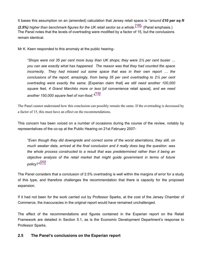It bases this assumption on an (amended) calculation that Jersey retail space is "*around £10 per sq ft* (2.5%) higher than benchmark figures for the UK retail sector as a whole.<sup>[18],</sup> (Panel emphasis.) The Panel notes that the levels of overtrading were modified by a factor of 15, but the conclusions remain identical.

Mr K. Keen responded to this anomaly at the public hearing-

*"Shops were not 35 per cent more busy than UK shops; they were 2½ per cent busier … you can see exactly what has happened. The reason was that they had counted the space incorrectly. They had missed out some space that was in their own report … the conclusions of the report, amazingly, from being 35 per cent overtrading to 2½ per cent overtrading were exactly the same.* [Experian claim that] *we still need another 100,000 square feet, 4 Grand Marchés more or less* [of convenience retail space]*, and we need another 150,000 square feet of non-food." [19]*

The Panel cannot understand how this conclusion can possibly remain the same. If the overtrading is decreased by a factor of 15, this must have an effect on the recommendations.

This concern has been voiced on a number of occasions during the course of the review, notably by representatives of the co-op at the Public Hearing on 21st February 2007-

*"Even though they did downgrade and correct some of the worst aberrations, they still, on much weaker data, arrived at the final conclusion and it really does beg the question: was the whole process constructed to a result that was predetermined rather than it being an objective analysis of the retail market that might guide government in terms of future policy?" [20]*

The Panel considers that a conclusion of 2.5% overtrading is well within the margins of error for a study of this type, and therefore challenges the recommendation that there is capacity for the proposed expansion.

If it had not been for the work carried out by Professor Sparks, at the cost of the Jersey Chamber of Commerce, the inaccuracies in the original report would have remained unchallenged.

The effect of the recommendations and figures contained in the Experian report on the Retail Framework are detailed in Section 5.1, as is the Economic Development Department's response to Professor Sparks.

#### **2.5 The Panel's conclusions on the Experian report**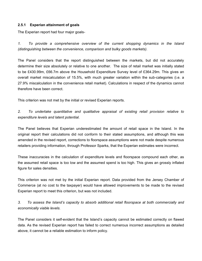#### **2.5.1 Experian attainment of goals**

The Experian report had four major goals-

*1. To provide a comprehensive overview of the current shopping dynamics in the Island (distinguishing between the convenience, comparison and bulky goods markets).*

The Panel considers that the report distinguished between the markets, but did not accurately determine their size absolutely or relative to one another. The size of retail market was initially stated to be £430.99m, £66.7m above the Household Expenditure Survey level of £364.29m. This gives an overall market miscalculation of 15.5%, with much greater variation within the sub-categories (i.e. a 27.9% miscalculation in the convenience retail market). Calculations in respect of the dynamics cannot therefore have been correct.

This criterion was not met by the initial or revised Experian reports.

*2. To undertake quantitative and qualitative appraisal of existing retail provision relative to expenditure levels and latent potential.*

The Panel believes that Experian underestimated the amount of retail space in the Island. In the original report their calculations did not conform to their stated assumptions, and although this was amended in the revised report, corrections to floorspace assumptions were not made despite numerous retailers providing information, through Professor Sparks, that the Experian estimates were incorrect.

These inaccuracies in the calculation of expenditure levels and floorspace compound each other, as the assumed retail space is too low and the assumed spend is too high. This gives an grossly inflated figure for sales densities.

This criterion was not met by the initial Experian report. Data provided from the Jersey Chamber of Commerce (at no cost to the taxpayer) would have allowed improvements to be made to the revised Experian report to meet this criterion, but was not included.

*3. To assess the Island's capacity to absorb additional retail floorspace at both commercially and economically viable levels.*

The Panel considers it self-evident that the Island's capacity cannot be estimated correctly on flawed data. As the revised Experian report has failed to correct numerous incorrect assumptions as detailed above, it cannot be a reliable estimation to inform policy.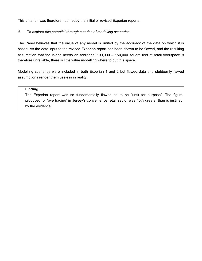This criterion was therefore not met by the initial or revised Experian reports.

#### *4. To explore this potential through a series of modelling scenarios.*

The Panel believes that the value of any model is limited by the accuracy of the data on which it is based. As the data input to the revised Experian report has been shown to be flawed, and the resulting assumption that the Island needs an additional 100,000 – 150,000 square feet of retail floorspace is therefore unreliable, there is little value modelling where to put this space.

Modelling scenarios were included in both Experian 1 and 2 but flawed data and stubbornly flawed assumptions render them useless in reality.

#### **Finding**

The Experian report was so fundamentally flawed as to be "unfit for purpose". The figure produced for 'overtrading' in Jersey's convenience retail sector was 45% greater than is justified by the evidence.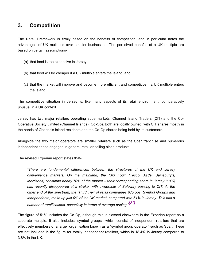# **3. Competition**

The Retail Framework is firmly based on the benefits of competition, and in particular notes the advantages of UK multiples over smaller businesses. The perceived benefits of a UK multiple are based on certain assumptions-

- (a) that food is too expensive in Jersey,
- (b) that food will be cheaper if a UK multiple enters the Island, and
- (c) that the market will improve and become more efficient and competitive if a UK multiple enters the Island.

The competitive situation in Jersey is, like many aspects of its retail environment, comparatively unusual in a UK context.

Jersey has two major retailers operating supermarkets, Channel Island Traders (CIT) and the Co-Operative Society Limited (Channel Islands) (Co-Op). Both are locally owned, with CIT shares mostly in the hands of Channels Island residents and the Co-Op shares being held by its customers.

Alongside the two major operators are smaller retailers such as the Spar franchise and numerous independent shops engaged in general retail or selling niche products.

The revised Experian report states that-

*"There are fundamental differences between the structures of the UK and Jersey convenience markets. On the mainland, the 'Big Four' (Tesco, Asda, Sainsbury's, Morrisons) constitute nearly 70% of the market – their corresponding share in Jersey (10%) has recently disappeared at a stroke, with ownership of Safeway passing to CIT. At the other end of the spectrum, the 'Third Tier' of retail companies (Co ops, Symbol Groups and Independents) make up just 9% of the UK market, compared with 51% in Jersey. This has a number of ramifications, especially in terms of average pricing." [21]*

The figure of 51% includes the Co-Op, although this is classed elsewhere in the Experian report as a separate multiple. It also includes 'symbol groups', which consist of independent retailers that are effectively members of a larger organisation known as a "symbol group operator" such as Spar. These are not included in the figure for totally independent retailers, which is 18.4% in Jersey compared to 3.8% in the UK.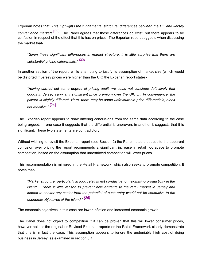Experian notes that '*This highlights the fundamental structural differences between the UK and Jersey convenience markets*' [22]. The Panel agrees that these differences do exist, but there appears to be confusion in respect of the effect that this has on prices. The Experian report suggests when discussing the market that-

*"Given these significant differences in market structure, it is little surprise that there are substantial pricing differentials." [23]*

In another section of the report, while attempting to justify its assumption of market size (which would be distorted if Jersey prices were higher than the UK) the Experian report states-

*"Having carried out some degree of pricing audit, we could not conclude definitively that goods in Jersey carry any significant price premium over the UK. …. In convenience, the picture is slightly different. Here, there may be some unfavourable price differentials, albeit not massive."* [24]

The Experian report appears to draw differing conclusions from the same data according to the case being argued. In one case it suggests that the differential is unproven, in another it suggests that it is significant. These two statements are contradictory.

Without wishing to revisit the Experian report (see Section 2) the Panel notes that despite the apparent confusion over pricing the report recommends a significant increase in retail floorspace to promote competition, based on the assumption that unrestricted competition will lower prices.

This recommendation is mirrored in the Retail Framework, which also seeks to promote competition. It notes that-

*"Market structure, particularly in food retail is not conducive to maximising productivity in the island… There is little reason to prevent new entrants to the retail market in Jersey and indeed to shelter any sector from the potential of such entry would not be conducive to the economic objectives of the Island." [25]*

The economic objectives in this case are lower inflation and increased economic growth.

The Panel does not object to competition if it can be proven that this will lower consumer prices, however neither the original or Revised Experian reports or the Retail Framework clearly demonstrate that this is in fact the case. This assumption appears to ignore the undeniably high cost of doing business in Jersey, as examined in section 3.1.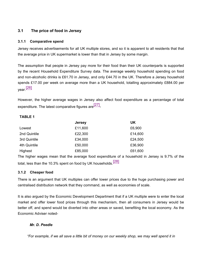# **3.1 The price of food in Jersey**

#### **3.1.1 Comparative spend**

Jersey receives advertisements for all UK multiple stores, and so it is apparent to all residents that that the average price in UK supermarket is lower than that in Jersey by some margin.

The assumption that people in Jersey pay more for their food than their UK counterparts is supported by the recent Household Expenditure Survey data. The average weekly household spending on food and non-alcoholic drinks is £61.70 in Jersey, and only £44.70 in the UK. Therefore a Jersey household spends £17.00 per week on average more than a UK household, totalling approximately £884.00 per year.<sup>[26]</sup>

However, the higher average wages in Jersey also affect food expenditure as a percentage of total expenditure. The latest comparative figures are $^{[27]}$ -

#### **TABLE 1**

|              | <b>Jersey</b> | UK      |
|--------------|---------------|---------|
| Lowest       | £11,600       | £6,900  |
| 2nd Quintile | £22,300       | £14,600 |
| 3rd Quintile | £34,000       | £24,500 |
| 4th Quintile | £50,000       | £36,900 |
| Highest      | £85,000       | £61,600 |

The higher wages mean that the average food expenditure of a household in Jersey is 9.7% of the total, less than the 10.3% spent on food by UK households.<sup>[28]</sup>

#### **3.1.2 Cheaper food**

There is an argument that UK multiples can offer lower prices due to the huge purchasing power and centralised distribution network that they command, as well as economies of scale.

It is also argued by the Economic Development Department that if a UK multiple were to enter the local market and offer lower food prices through this mechanism, then all consumers in Jersey would be better off, and spend would be diverted into other areas or saved, benefiting the local economy. As the Economic Adviser noted-

#### *Mr. D. Peedle*

*"For example, if we all save a little bit of money on our weekly shop, we may well spend it in*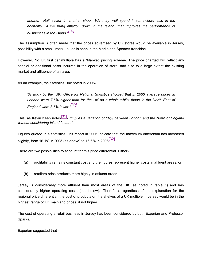*another retail sector in another shop. We may well spend it somewhere else in the economy. If we bring inflation down in the Island, that improves the performance of businesses in the Island." [29]*

The assumption is often made that the prices advertised by UK stores would be available in Jersey, possibility with a small 'mark-up', as is seen in the Marks and Spencer franchise.

However, No UK first tier multiple has a 'blanket' pricing scheme. The price charged will reflect any special or additional costs incurred in the operation of store, and also to a large extent the existing market and affluence of an area.

As an example, the Statistics Unit noted in 2005-

*"A study by the* [UK] *Office for National Statistics showed that in 2003 average prices in London were 7.6% higher than for the UK as a whole whilst those in the North East of England were 8.5% lower." [30]*

This, as Kevin Keen notes[31] - *"implies a variation of 16% between London and the North of England without considering Island factors"*.

Figures quoted in a Statistics Unit report in 2006 indicate that the maximum differential has increased slightly, from 16.1% in 2005 (as above) to 16.6% in 2006 $\overline{[32]}$ 

There are two possibilities to account for this price differential. Either-

- (a) profitability remains constant cost and the figures represent higher costs in affluent areas, or
- (b) retailers price products more highly in affluent areas.

Jersey is considerably more affluent than most areas of the UK (as noted in table 1) and has considerably higher operating costs (see below). Therefore, regardless of the explanation for the regional price differential, the cost of products on the shelves of a UK multiple in Jersey would be in the highest range of UK mainland prices, if not higher.

The cost of operating a retail business in Jersey has been considered by both Experian and Professor Sparks.

Experian suggested that -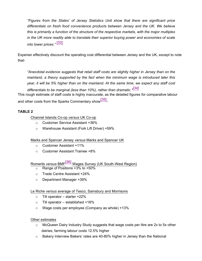*"Figures from the States' of Jersey Statistics Unit show that there are significant price differentials on fresh food convenience products between Jersey and the UK. We believe this is primarily a function of the structure of the respective markets, with the major multiples in the UK more readily able to translate their superior buying power and economies of scale into lower prices."* [33]

Experian effectively discount the operating cost differential between Jersey and the UK, except to note that-

*"Anecdotal evidence suggests that retail staff costs are slightly higher in Jersey than on the mainland, a theory supported by the fact when the minimum wage is introduced later this year, it will be 5% higher than on the mainland. At the same time, we expect any staff cost differentials to be marginal (less than 10%), rather than dramatic." [34]*

This rough estimate of staff costs is highly inaccurate, as the detailed figures for comparative labour and other costs from the Sparks Commentary show $^{\text{\small{[35]}}\text{\small{-}}}$ 

## **TABLE 2**

Channel Islands Co-op *versus* UK Co-op

- o Customer Service Assistant +36%
- o Warehouse Assistant (Fork Lift Driver) +59%

## Marks and Spencer Jersey *versus* Marks and Spencer UK

- o Customer Assistant +11%
- o Customer Assistant Trainee +8%

Romerils *versus* BMF[36] Wages Survey (UK South-West Region)

- $\circ$  Range of Positions +3% to +50%
- o Trade Centre Assistant +24%
- o Department Manager +39%

## Le Riche *versus* average of Tesco, Sainsbury and Morrisons

- $\circ$  Till operator starter +22%
- $\circ$  Till operator established +18%
- $\circ$  Wage costs per employee (Company as whole) +13%

Other estimates

- $\circ$  McQueen Dairy Industry Study suggests that wage costs per litre are 2x to 5x other dairies; farming labour costs 12.5% higher
- $\circ$  Bakery Interview Bakers' rates are 40-80% higher in Jersey than the National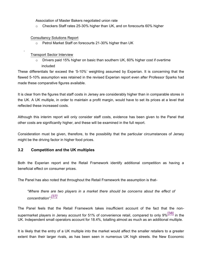Association of Master Bakers negotiated union rate

 $\circ$  Checkers Staff rates 25-30% higher than UK, and on forecourts 60% higher

#### Consultancy Solutions Report

o Petrol Market Staff on forecourts 21-30% higher than UK

Transport Sector Interview

 $\circ$  Drivers paid 15% higher on basic than southern UK, 60% higher cost if overtime included

These differentials far exceed the '5-10%' weighting assumed by Experian. It is concerning that the flawed 5-10% assumption was retained in the revised Experian report even after Professor Sparks had made these comparative figures available.

It is clear from the figures that staff costs in Jersey are considerably higher than in comparable stores in the UK. A UK multiple, in order to maintain a profit margin, would have to set its prices at a level that reflected these increased costs.

Although this interim report will only consider staff costs, evidence has been given to the Panel that other costs are significantly higher, and these will be examined in the full report.

Consideration must be given, therefore, to the possibility that the particular circumstances of Jersey might be the driving factor in higher food prices.

## **3.2 Competition and the UK multiples**

Both the Experian report and the Retail Framework identify additional competition as having a beneficial effect on consumer prices.

The Panel has also noted that throughout the Retail Framework the assumption is that-

*"Where there are two players in a market there should be concerns about the effect of concentration". [37]*

The Panel feels that the Retail Framework takes insufficient account of the fact that the nonsupermarket players in Jersey account for 51% of convenience retail, compared to only 9%<sup>[38]</sup> in the UK. Independent small operators account for 18.4%, totalling almost as much as an additional multiple.

It is likely that the entry of a UK multiple into the market would affect the smaller retailers to a greater extent than their larger rivals, as has been seen in numerous UK high streets. the New Economic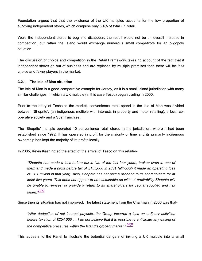Foundation argues that that the existence of the UK multiples accounts for the low proportion of surviving independent stores, which comprise only 3.4% of total UK retail.

Were the independent stores to begin to disappear, the result would not be an overall increase in competition, but rather the Island would exchange numerous small competitors for an oligopoly situation.

The discussion of choice and competition in the Retail Framework takes no account of the fact that if independent stores go out of business and are replaced by multiple premises then there will be *less* choice and *fewer* players in the market.

#### **3.2.1 The Isle of Man situation**

The Isle of Man is a good comparative example for Jersey, as it is a small island jurisdiction with many similar challenges, in which a UK multiple (in this case Tesco) began trading in 2000.

Prior to the entry of Tesco to the market, convenience retail spend in the Isle of Man was divided between 'Shoprite', (an indigenous multiple with interests in property and motor retailing), a local cooperative society and a Spar franchise.

The 'Shoprite' multiple operated 10 convenience retail stores in the jurisdiction, where it had been established since 1972. It has operated in profit for the majority of time and its primarily indigenous ownership has kept the majority of its profits locally.

In 2005, Kevin Keen noted the effect of the arrival of Tesco on this retailer-

*"Shoprite has made a loss before tax in two of the last four years, broken even in one of them and made a profit before tax of £155,000 in 2001 (although it made an operating loss of £1.1 million in that year). Also, Shoprite has not paid a dividend to its shareholders for at least five years. This does not appear to be sustainable as without profitability Shoprite will be unable to reinvest or provide a return to its shareholders for capital supplied and risk taken." [39]*

Since then its situation has not improved. The latest statement from the Chairman in 2006 was that-

*"After deduction of net interest payable, the Group incurred a loss on ordinary activities before taxation of £254,000 … I do not believe that it is possible to anticipate any easing of the competitive pressures within the Island's grocery market." [40]*

This appears to the Panel to illustrate the potential dangers of inviting a UK multiple into a small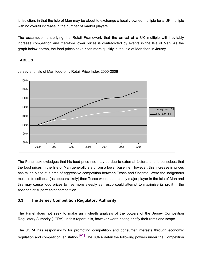jurisdiction, in that the Isle of Man may be about to exchange a locally-owned multiple for a UK multiple with no overall increase in the number of market players.

The assumption underlying the Retail Framework that the arrival of a UK multiple will inevitably increase competition and therefore lower prices is contradicted by events in the Isle of Man. As the graph below shows, the food prices have risen more quickly in the Isle of Man than in Jersey-

#### **TABLE 3**



Jersey and Isle of Man food-only Retail Price Index 2000-2006

The Panel acknowledges that his food price rise may be due to external factors, and is conscious that the food prices in the Isle of Man generally start from a lower baseline. However, this increase in prices has taken place at a time of aggressive competition between Tesco and Shoprite. Were the indigenous multiple to collapse (as appears likely) then Tesco would be the only major player in the Isle of Man and this may cause food prices to rise more steeply as Tesco could attempt to maximise its profit in the absence of supermarket competition.

#### **3.3 The Jersey Competition Regulatory Authority**

The Panel does not seek to make an in-depth analysis of the powers of the Jersey Competition Regulatory Authority (JCRA) in this report. it is, however worth noting briefly their remit and scope.

The JCRA has responsibility for promoting competition and consumer interests through economic regulation and competition legislation.  $[41]$  The JCRA detail the following powers under the Competition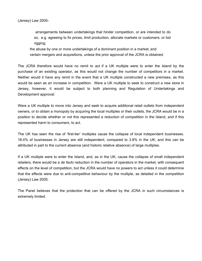arrangements between undertakings that hinder competition, or are intended to do so, e.g. agreeing to fix prices, limit production, allocate markets or customers, or bid rigging;

the abuse by one or more undertakings of a dominant position in a market; and certain mergers and acquisitions, unless the prior approval of the JCRA is obtained.

The JCRA therefore would have no remit to act if a UK multiple were to enter the Island by the purchase of an existing operator, as this would not change the number of competitors in a market. Neither would it have any remit in the event that a UK multiple constructed a new premises, as this would be seen as an increase in competition. Were a UK multiple to seek to construct a new store in Jersey, however, it would be subject to both planning and Regulation of Undertakings and Development approval.

Were a UK multiple to move into Jersey and seek to acquire additional retail outlets from independent owners, or to obtain a monopoly by acquiring the local multiples or their outlets, the JCRA would be in a position to decide whether or not this represented a reduction of competition in the Island, and if this represented harm to consumers, to act.

The UK has seen the rise of 'first-tier' multiples cause the collapse of local independent businesses. 18.4% of businesses in Jersey are still independent, compared to 3.8% in the UK, and this can be attributed in part to the current absence (and historic relative absence) of large multiples.

If a UK multiple were to enter the Island, and, as in the UK, cause the collapse of small independent retailers, there would be a *de facto* reduction in the number of operators in the market, with consequent effects on the level of competition, but the JCRA would have no powers to act unless it could determine that the effects were due to anti-competitive behaviour by the multiple, as detailed in the competition (Jersey) Law 2005.

The Panel believes that the protection that can be offered by the JCRA in such circumstances is extremely limited.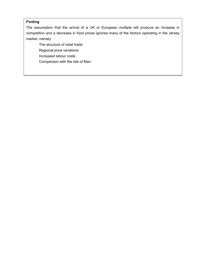#### **Finding**

The assumption that the arrival of a UK or European multiple will produce an increase in competition and a decrease in food prices ignores many of the factors operating in the Jersey market, namely

 The structure of retail trade Regional price variations Increased labour costs Comparison with the Isle of Man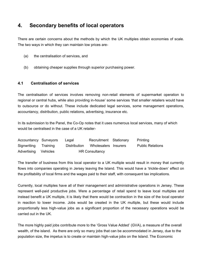# **4. Secondary benefits of local operators**

There are certain concerns about the methods by which the UK multiples obtain economies of scale. The two ways in which they can maintain low prices are-

- (a) the centralisation of services, and
- (b) obtaining cheaper supplies through superior purchasing power.

#### **4.1 Centralisation of services**

The centralisation of services involves removing non-retail elements of supermarket operation to regional or central hubs, while also providing in-house' some services 'that smaller retailers would have to outsource or do without. These include dedicated legal services, some management operations, accountancy, distribution, public relations, advertising, insurance etc.

In its submission to the Panel, the Co-Op notes that it uses numerous local services, many of which would be centralised in the case of a UK retailer-

| Accountancy Surveyors | Legal        | Recruitment Stationary | Printing                |
|-----------------------|--------------|------------------------|-------------------------|
| Signwriting Training  | Distribution | Wholesalers Insurers   | <b>Public Relations</b> |
| Advertising Vehicles  |              | <b>HR Consultancy</b>  |                         |

The transfer of business from this local operator to a UK multiple would result in money that currently flows into companies operating in Jersey leaving the Island. This would have a 'trickle-down' effect on the profitability of local firms and the wages paid to their staff, with consequent tax implications.

Currently, local multiples have all of their management and administrative operations in Jersey. These represent well-paid productive jobs. Were a percentage of retail spend to leave local multiples and instead benefit a UK multiple, it is likely that there would be contraction in the size of the local operator in reaction to lower income. Jobs would be created in the UK multiple, but these would include proportionally less high-value jobs as a significant proportion of the necessary operations would be carried out in the UK.

The more highly paid jobs contribute more to the 'Gross Value Added' (GVA), a measure of the overall wealth, of the island. As there are only so many jobs that can be accommodated in Jersey, due to the population size, the impetus is to create or maintain high-value jobs on the Island. The Economic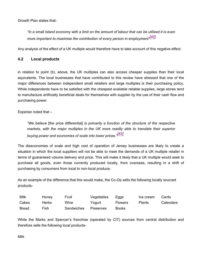Growth Plan states that-

*"In a small Island economy with a limit on the amount of labour that can be utilised it is even more important to maximise the contribution of every person in employment" [42]*

Any analysis of the effect of a UK multiple would therefore have to take account of this negative effect.

#### **4.2 Local products**

in relation to point (b), above, the UK multiples can also access cheaper supplies than their local equivalents. The local businesses that have contributed to this review have stressed that one of the major differences between independent small retailers and large multiples is their purchasing policy. While independents have to be satisfied with the cheapest available reliable supplies, large stores tend to manufacture artificially beneficial deals for themselves with supplier by the use of their cash flow and purchasing power.

Experian noted that –

*"We believe* [the price differential] *is primarily a function of the structure of the respective markets, with the major multiples in the UK more readily able to translate their superior buying power and economies of scale into lower prices." [43]*

The diseconomies of scale and high cost of operation of Jersey businesses are likely to create a situation in which the local suppliers will not be able to meet the demands of a UK multiple retailer in terms of guaranteed volume delivery and price. This will make it likely that a UK multiple would seek to purchase all goods, even those currently produced locally, from overseas, resulting in a shift of purchasing by consumers from local to non-local produce.

As an example of the difference that this would make, the Co-Op sells the following locally sourced products-

| Milk  | Honey | Fruit             | Vegetables | Eggs           | Ice cream     | Cards     |
|-------|-------|-------------------|------------|----------------|---------------|-----------|
| Cakes | Herbs | Wine              | Yogurt     | <b>Flowers</b> | <b>Plants</b> | Calendars |
| Bread | Fish  | <b>Sandwiches</b> | Preserves  | <b>Books</b>   |               |           |

While the Marks and Spencer's franchise (operated by CIT) sources from central distribution and therefore sells the following local products-

Milk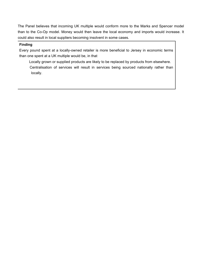The Panel believes that incoming UK multiple would conform more to the Marks and Spencer model than to the Co-Op model. Money would then leave the local economy and imports would increase. It could also result in local suppliers becoming insolvent in some cases.

#### **Finding**

Every pound spent at a locally-owned retailer is more beneficial to Jersey in economic terms than one spent at a UK multiple would be, in that

 Locally grown or supplied products are likely to be replaced by products from elsewhere. Centralisation of services will result in services being sourced nationally rather than locally.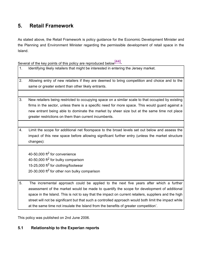# **5. Retail Framework**

As stated above, the Retail Framework is policy guidance for the Economic Development Minister and the Planning and Environment Minister regarding the permissible development of retail space in the Island.

Several of the key points of this policy are reproduced below $\frac{[44]}{[44]}$ 

- 1. Identifying likely retailers that might be interested in entering the Jersey market.
- 2. Allowing entry of new retailers if they are deemed to bring competition and choice and to the same or greater extent than other likely entrants.
- 3. New retailers being restricted to occupying space on a similar scale to that occupied by existing firms in the sector, unless there is a specific need for more space. This would guard against a new entrant being able to dominate the market by sheer size but at the same time not place greater restrictions on them than current incumbents.
- 4. Limit the scope for additional net floorspace to the broad levels set out below and assess the impact of this new space before allowing significant further entry (unless the market structure changes):

40-50,000 ft<sup>2</sup> for convenience 40-50,000 ft<sup>2</sup> for bulky comparison 15-25,000 ft<sup>2</sup> for clothing/footwear 20-30,000 ft<sup>2</sup> for other non bulky comparison

5. The incremental approach could be applied to the next five years after which a further assessment of the market would be made to quantify the scope for development of additional space in the Island. This is not to say that the impact on current retailers, suppliers and the high street will not be significant but that such a controlled approach would both limit the impact while at the same time not insulate the Island from the benefits of greater competition'.

This policy was published on 2nd June 2006.

# **5.1 Relationship to the Experian reports**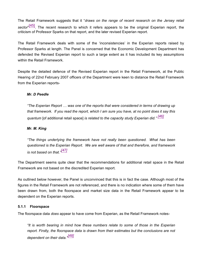The Retail Framework suggests that it "*draws on the range of recent research on the Jersey retail* sector<sup>, [45]</sup>. The recent research to which it refers appears to be the original Experian report, the criticism of Professor Sparks on that report, and the later revised Experian report.

The Retail Framework deals with some of the 'inconsistencies' in the Experian reports raised by Professor Sparks at length. The Panel is concerned that the Economic Development Department has defended the Revised Experian report to such a large extent as it has included its key assumptions within the Retail Framework.

Despite the detailed defence of the Revised Experian report in the Retail Framework, at the Public Hearing of 22nd February 2007 officers of the Department were keen to distance the Retail Framework from the Experian reports-

#### *Mr. D Peedle*

*"The Experian Report … was one of the reports that were considered in terms of drawing up that framework. If you read the report, which I am sure you have, at no point does it say this quantum* [of additional retail space] *is related to the capacity study Experian did." [46]*

#### *Mr. M. King*

*"The things underlying the framework have not really been questioned. What has been questioned is the Experian Report. We are well aware of that and therefore, and framework is not based on that." [47]*

The Department seems quite clear that the recommendations for additional retail space in the Retail Framework are not based on the discredited Experian report.

As outlined below however, the Panel is unconvinced that this is in fact the case. Although most of the figures in the Retail Framework are not referenced, and there is no indication where some of them have been drawn from, both the floorspace and market size data in the Retail Framework appear to be dependent on the Experian reports.

#### **5.1.1 Floorspace**

The floorspace data *does* appear to have come from Experian, as the Retail Framework notes-

*"It is worth bearing in mind how these numbers relate to some of those in the Experian report. Firstly, the floorspace data is drawn from their estimates but the conclusions are not dependent on their data." [48]*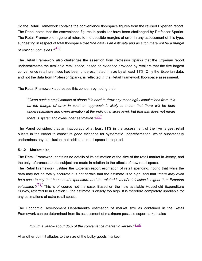So the Retail Framework contains the convenience floorspace figures from the revised Experian report. The Panel notes that the convenience figures in particular have been challenged by Professor Sparks. The Retail Framework in general refers to the possible margins of error in any assessment of this type, suggesting in respect of total floorspace that *"the data is an estimate and as such there will be a margin of error on both sides." [49]*

The Retail Framework also challenges the assertion from Professor Sparks that the Experian report underestimates the available retail space, based on evidence provided by retailers that the five largest convenience retail premises had been underestimated in size by at least 11%. Only the Experian data, and not the data from Professor Sparks, is reflected in the Retail Framework floorspace assessment.

The Retail Framework addresses this concern by noting that-

*"Given such a small sample of shops it is hard to draw any meaningful conclusions from this as the margin of error in such an approach is likely to mean that there will be both underestimation and overestimation at the individual store level, but that this does not mean there is systematic over/under estimation." [50]*

The Panel considers that an inaccuracy of at least 11% in the assessment of the five largest retail outlets in the Island to constitute good evidence for systematic underestimation, which substantially undermines any conclusion that additional retail space is required.

#### **5.1.2 Market size**

The Retail Framework contains no details of its estimation of the size of the retail market in Jersey, and the only references to this subject are made in relation to the effects of new retail space.

The Retail Framework justifies the Experian report estimation of retail spending, noting that while the data may not be totally accurate it is not certain that the estimate is to high, and that "*there may even be a case to say that household expenditure and the related level of retail sales is higher than Experian calculated". [51]* This is of course not the case. Based on the now available Household Expenditure Survey, referred to in Section 2, the estimate is clearly too high. It is therefore completely unreliable for any estimations of extra retail space.

The Economic Development Department's estimation of market size as contained in the Retail Framework can be determined from its assessment of maximum possible supermarket sales-

*"£75m a year – about 35% of the convenience market in Jersey." [52]*

At another point it alludes to the size of the bulky goods market-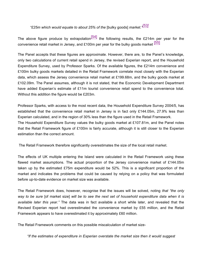# *"£25m which would equate to about 25% of the* [bulky goods] *market." [53]*

The above figure produce by extrapolation  $\frac{54}{1}$  the following results, the £214m per year for the convenience retail market in Jersey, and £100m per year for the bulky goods market [55]

The Panel accepts that these figures are approximate. However, there are, to the Panel's knowledge, only two calculations of current retail spend in Jersey, the revised Experian report, and the Household Expenditure Survey, used by Professor Sparks. Of the available figures, the £214m convenience and £100m bulky goods markets detailed in the Retail Framework correlate most closely with the Experian data, which assess the Jersey convenience retail market at £199.68m, and the bulky goods market at £102.09m. The Panel assumes, although it is not stated, that the Economic Development Department have added Experian's estimate of £11m tourist convenience retail spend to the convenience total. Without this addition the figure would be £203m.

Professor Sparks, with access to the most recent data, the Household Expenditure Survey 2004/5, has established that the convenience retail market in Jersey is in fact only £144.05m, 27.9% less than Experian calculated, and in the region of 30% less than the figure used in the Retail Framework. The Household Expenditure Survey values the bulky goods market at £107.81m, and the Panel notes that the Retail Framework figure of £100m is fairly accurate, although it is still closer to the Experian estimation than the correct amount.

The Retail Framework therefore significantly overestimates the size of the local retail market.

The effects of UK multiple entering the Island were calculated in the Retail Framework using these flawed market assumptions. The actual proportion of the Jersey convenience market of £144.05m taken up by the estimated £75m expenditure would be 52%. This is a significant proportion of the market and indicates the problems that could be caused by relying on a policy that was formulated before up-to-date evidence on market size was available.

The Retail Framework does, however, recognise that the issues will be solved, noting *that "the only way to be sure* [of market size] *will be to see the next set of household expenditure data when it is available later this year."* The data was in fact available a short while later, and revealed that the Revised Experian report had overestimated the convenience market by £55 million, and the Retail Framework appears to have overestimated it by approximately £60 million.

The Retail Framework comments on this possible miscalculation of market size-

*"If the estimates of expenditure in Experian overstate the market size then it would suggest*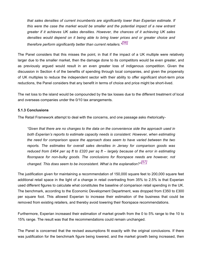*that sales densities of current incumbents are significantly lower than Experian estimate. If this were the case the market would be smaller and the potential impact of a new entrant greater if it achieves UK sales densities. However, the chances of it achieving UK sales densities would depend on it being able to bring lower prices and or greater choice and therefore perform significantly better than current retailers." [56]*

The Panel considers that this misses the point, in that if the impact of a UK multiple were relatively larger due to the smaller market, then the damage done to its competitors would be even greater, and as previously argued would result in an even greater loss of indigenous competition. Given the discussion in Section 4 of the benefits of spending through local companies, and given the propensity of UK multiples to reduce the independent sector with their ability to offer significant short-term price reductions, the Panel considers that any benefit in terms of choice and price might be short-lived.

The net loss to the island would be compounded by the tax losses due to the different treatment of local and overseas companies under the 0/10 tax arrangements.

#### **5.1.3 Conclusions**

The Retail Framework attempt to deal with the concerns, and one passage asks rhetorically-

*"Given that there are no changes to the data on the convenience side the approach used in both Experian's reports to estimate capacity needs is consistent. However, when estimating the need for comparison space the approach does seem to have varied between the two reports. The estimates for overall sales densities in Jersey for comparison goods was reduced from £464 per sq ft to £320 per sq ft – largely because of the error in estimating floorspace for non-bulky goods. The conclusions for floorspace needs are however, not changed. This does seem to be inconsistent. What is the explanation?" [57]*

The justification given for maintaining a recommendation of 150,000 square feet to 200,000 square feet additional retail space in the light of a change in retail overtrading from 35% to 2.5% is that Experian used different figures to calculate what constitutes the baseline of comparison retail spending in the UK. The benchmark, according to the Economic Development Department, was dropped from £350 to £300 per square foot. This allowed Experian to increase their estimation of the business that could be removed from existing retailers, and thereby avoid lowering their floorspace recommendations.

Furthermore, Experian increased their estimation of market growth from the 0 to 5% range to the 10 to 15% range. The result was that the recommendations could remain unchanged.

The Panel is concerned that the revised assumptions fit exactly with the original conclusions. If there was justification for the benchmark figure being lowered, and the market growth being increased, then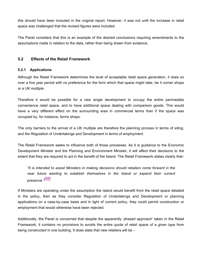this should have been included in the original report. However, it was not until the increase in retail space was challenged that the revised figures were included.

The Panel considers that this is an example of the desired conclusions requiring amendments to the assumptions made in relation to the data, rather than being drawn from evidence.

#### **5.2 Effects of the Retail Framework**

#### **5.2.1 Applications**

Although the Retail Framework determines the level of acceptable retail space generation, it does so over a five year period with no preference for the form which that space might take, be it corner shops or a UK multiple.

Therefore it would be possible for a new single development to occupy the entire permissible convenience retail space, and to have additional space dealing with comparison goods. This would have a very different effect on the surrounding area in commercial terms than if the space was occupied by, for instance, farms shops.

The only barriers to the arrival of a UK multiple are therefore the planning process in terms of siting, and the Regulation of Undertakings and Development in terms of employment.

The Retail Framework seeks to influence both of those processes. As it is guidance to the Economic Development Minister and the Planning and Environment Minister, it will affect their decisions to the extent that they are required to act in the benefit of the Island. The Retail Framework states clearly that-

*"It is intended to assist Ministers in making decisions should retailers come forward in the near future wanting to establish themselves in the Island or expand their current presence." [58]*

If Ministers are operating under the assumption the Island would benefit from the retail space detailed in the policy, then as they consider Regulation of Undertakings and Development or planning applications on a case-by-case basis and in light of current policy, they could permit construction or employment that would otherwise have been rejected.

Additionally, the Panel is concerned that despite the apparently 'phased approach' taken in the Retail Framework, it contains no provisions to avoids the entire quota of retail space of a given type from being constructed in one building. It does state that new retailers will be -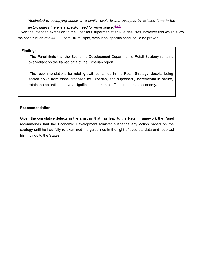*"Restricted to occupying space on a similar scale to that occupied by existing firms in the*

*sector, unless there is a specific need for more space." [59]*

Given the intended extension to the Checkers supermarket at Rue des Pres, however this would allow the construction of a 44,000 sq ft UK multiple, even if no 'specific need' could be proven.

#### **Findings**

 The Panel finds that the Economic Development Department's Retail Strategy remains over-reliant on the flawed data of the Experian report.

 The recommendations for retail growth contained in the Retail Strategy, despite being scaled down from those proposed by Experian, and supposedly incremental in nature, retain the potential to have a significant detrimental effect on the retail economy.

#### **Recommendation**

Given the cumulative defects in the analysis that has lead to the Retail Framework the Panel recommends that the Economic Development Minister suspends any action based on the strategy until he has fully re-examined the guidelines in the light of accurate data and reported his findings to the States.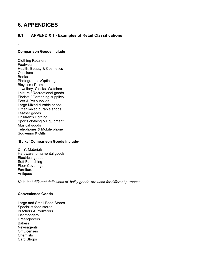# **6. APPENDICES**

## **6.1 APPENDIX 1 - Examples of Retail Classifications**

#### **Comparison Goods include**

Clothing Retailers Footwear Health, Beauty & Cosmetics **Opticians** Books Photographic /Optical goods Bicycles / Prams Jewellery, Clocks, Watches Leisure / Recreational goods Florists / Gardening supplies Pets & Pet supplies Large Mixed durable shops Other mixed durable shops Leather goods Children's clothing Sports clothing & Equipment Musical goods Telephones & Mobile phone Souvenirs & Gifts

#### **'Bulky' Comparison Goods include-**

D.I.Y. Materials Hardware, ornamental goods Electrical goods Soft Furnishing Floor Coverings Furniture Antiques

*Note that different definitions of 'bulky goods' are used for different purposes.*

#### **Convenience Goods**

Large and Small Food Stores Specialist food stores Butchers & Poulterers **Fishmongers Greengrocers Bakers Newsagents** Off Licenses Chemists Card Shops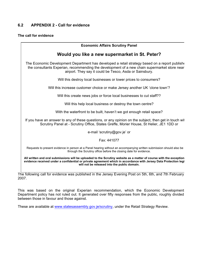#### **6.2 APPENDIX 2 - Call for evidence**

#### **The call for evidence**

| <b>Economic Affairs Scrutiny Panel</b>                                                                                                                                                                                                                   |
|----------------------------------------------------------------------------------------------------------------------------------------------------------------------------------------------------------------------------------------------------------|
| Would you like a new supermarket in St. Peter?                                                                                                                                                                                                           |
| The Economic Development Department has developed a retail strategy based on a report publish<br>the consultants Experian, recommending the development of a new chain supermarket store near<br>airport. They say it could be Tesco, Asda or Sainsbury. |
| Will this destroy local businesses or lower prices to consumers?                                                                                                                                                                                         |
| Will this increase customer choice or make Jersey another UK 'clone town'?                                                                                                                                                                               |
| Will this create news jobs or force local businesses to cut staff??                                                                                                                                                                                      |
| Will this help local business or destroy the town centre?                                                                                                                                                                                                |
| With the waterfront to be built, haven't we got enough retail space?                                                                                                                                                                                     |
| If you have an answer to any of these questions, or any opinion on the subject, then get in touch wit<br>Scrutiny Panel at - Scrutiny Office, States Greffe, Morier House, St Helier, JE1 1DD or                                                         |
| e-mail 'scrutiny@gov.je' or                                                                                                                                                                                                                              |
| Fax: 441077                                                                                                                                                                                                                                              |
| Requests to present evidence in person at a Panel hearing without an accompanying written submission should also be<br>through the Scrutiny office before the closing date for evidence.                                                                 |
| All written and oral submissions will be uploaded to the Scrutiny website as a matter of course with the exception<br>evidence received under a confidential or private agreement which in accordance with Jersey Data Protection legi                   |

The following call for evidence was published in the Jersey Evening Post on 5th, 6th, and 7th February 2007.

**will not be released into the public domain.**

This was based on the original Experian recommendation, which the Economic Development Department policy has not ruled out. It generated over fifty responses from the public, roughly divided between those in favour and those against.

These are available at <www.statesassembly.gov.je/scrutiny>, under the Retail Strategy Review.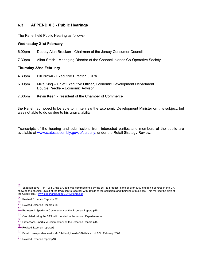#### **6.3 APPENDIX 3 - Public Hearings**

The Panel held Public Hearing as follows-

#### **Wednesday 21st February**

6.00pm Deputy Alan Breckon - Chairman of the Jersey Consumer Council

7.30pm Allan Smith - Managing Director of the Channel Islands Co-Operative Society

#### **Thursday 22nd February**

- 4.30pm Bill Brown Executive Director, JCRA
- 6.00pm Mike King Chief Executive Officer, Economic Development Department Dougie Peedle – Economic Advisor
- 7.30pm Kevin Keen President of the Chamber of Commerce

the Panel had hoped to be able tom interview the Economic Development Minister on this subject, but was not able to do so due to his unavailability.

Transcripts of the hearing and submissions from interested parties and members of the public are available at [www.statesassembly.gov.je/scrutiny,](www.statesassembly.gov.je/scrutiny) under the Retail Strategy Review.

<sup>[1]</sup> Experian says – "In 1965 Chas E Goad was commissioned by the DTI to produce plans of over 1000 shopping centres in the UK, showing the physical layout of the town centre together with details of the occupiers and their line of business. This marked the birth of the Goad Plan, " <www.experianbs.com/GOADHome.asp>

<sup>[2]&</sup>lt;br>Revised Experian Report p 27

<sup>[3]&</sup>lt;br>Revised Experian Report p 28

<sup>[4]</sup> Professor L Sparks, A Commentary on the Experian Report, p15

<sup>[5]</sup> Calculated using the 80% ratio detailed in the revised Experian report

<sup>[6]</sup> Professor L Sparks, A Commentary on the Experian Report, p15

<sup>[7]</sup> Revised Experian report p61

<sup>[8]</sup> Email correspondence with Mr D Millard, Head of Statistics Unit 26th February 2007

<sup>[9]&</sup>lt;br>Revised Experian report p16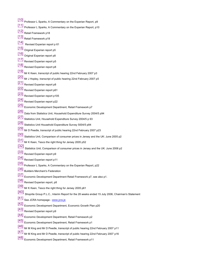- [10] Professor L Sparks, A Commentary on the Experian Report, p9 [11] Professor L Sparks, A Commentary on the Experian Report, p10 [12]<br>Retail Framework p18 [13]<br>Retail Framework p18 [14] Revised Experian report p 61 [15] Original Experian report p5 [16] Original Experian report p8 [17]<br>Revised Experian report p5 [18]<br>Revised Experian report p8  $\left[ 19\right]$  Mr K Keen, transcript of public hearing 22nd February 2007 p3  $\left[ \begin{smallmatrix} 20 \end{smallmatrix} \right]$  Mr J Hopley, transcript of public hearing 22nd February 2007 p5 [21]<br>Revised Experian report p8 [22] Revised Experian report p61 [23]<br>Revised Experian report p105 [24]<br>Revised Experian report p22 [25] Economic Development Department, Retail Framework p7 [26] Data from Statistics Unit, Household Expenditure Survey 2004/5 p94 [27] Statistics Unit, Household Expenditure Survey 2004/5 p 93 [28] Statistics Unit Household Expenditure Survey 5004/5 p94 [29] Mr D Peedle, transcript of public hearing 22nd February 2007 p23 [30] Statistics Unit, Comparison of consumer prices in Jersey and the UK: June 2005 p2 [31] Mr K Keen, Tesco the right thing for Jersey 2005 p52 [32] Statistics Unit, Comparison of consumer prices in Jersey and the UK: June 2006 p2
	- [33]<br>Revised Experian report p9
	- [34] Revised Experian report p11
	- [35] Professor L Sparks, A Commentary on the Experian Report, p22
	- [36]<br>Builders Merchant's Federation
	- [37] Economic Development Department Retail Framework p7, see also p1.
	- [38]<br>Revised Experian report, p8
	- [39] Mr K Keen, Tesco the right thing for Jersey 2005 p61
	- [40] Shoprite Group P.L.C., Interim Report for the 28 weeks ended 15 July 2006, Chairman's Statement
	- [41] See JCRA homepage <www.jcra.je>
	- [42] Economic Development Department, Economic Growth Plan p20
	- [43] Revised Experian report p9
	- [44] Economic Development Department, Retail Framework p2
	- [45] Economic Development Department, Retail Framework p1
	- [46] Mr M King and Mr D Peedle, transcript of public hearing 22nd February 2007 p11
	- [47] Mr M King and Mr D Peedle, transcript of public hearing 22nd February 2007 p16
	- [48] Economic Development Department, Retail Framework p11